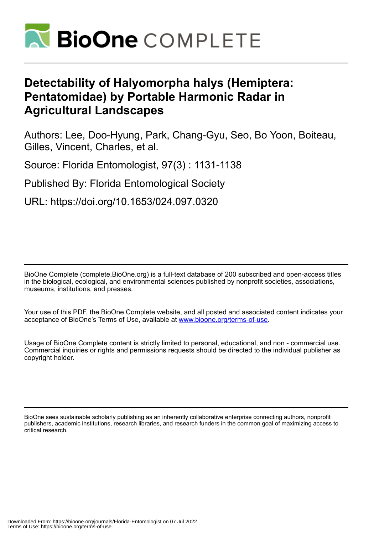

# **Detectability of Halyomorpha halys (Hemiptera: Pentatomidae) by Portable Harmonic Radar in Agricultural Landscapes**

Authors: Lee, Doo-Hyung, Park, Chang-Gyu, Seo, Bo Yoon, Boiteau, Gilles, Vincent, Charles, et al.

Source: Florida Entomologist, 97(3) : 1131-1138

Published By: Florida Entomological Society

URL: https://doi.org/10.1653/024.097.0320

BioOne Complete (complete.BioOne.org) is a full-text database of 200 subscribed and open-access titles in the biological, ecological, and environmental sciences published by nonprofit societies, associations, museums, institutions, and presses.

Your use of this PDF, the BioOne Complete website, and all posted and associated content indicates your acceptance of BioOne's Terms of Use, available at www.bioone.org/terms-of-use.

Usage of BioOne Complete content is strictly limited to personal, educational, and non - commercial use. Commercial inquiries or rights and permissions requests should be directed to the individual publisher as copyright holder.

BioOne sees sustainable scholarly publishing as an inherently collaborative enterprise connecting authors, nonprofit publishers, academic institutions, research libraries, and research funders in the common goal of maximizing access to critical research.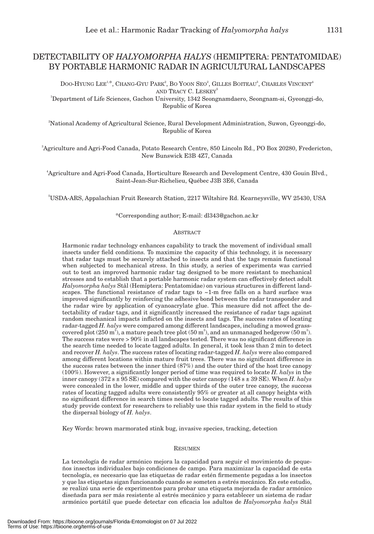## DETECTABILITY OF *HALYOMORPHA HALYS* (HEMIPTERA: PENTATOMIDAE) BY PORTABLE HARMONIC RADAR IN AGRICULTURAL LANDSCAPES

DOO-HYUNG LEE<sup>1.\*</sup>, CHANG-GYU PARK<sup>2</sup>, BO YOON SEO<sup>2</sup>, GILLES BOITEAU<sup>3</sup>, CHARLES VINCENT<sup>4</sup> AND TRACY C. LESKEY<sup>5</sup>

1 Department of Life Sciences, Gachon University, 1342 Seongnamdaero, Seongnam-si, Gyeonggi-do, Republic of Korea

2 National Academy of Agricultural Science, Rural Development Administration, Suwon, Gyeonggi-do, Republic of Korea

3 Agriculture and Agri-Food Canada, Potato Research Centre, 850 Lincoln Rd., PO Box 20280, Fredericton, New Bunswick E3B 4Z7, Canada

4 Agriculture and Agri-Food Canada, Horticulture Research and Development Centre, 430 Gouin Blvd., Saint-Jean-Sur-Richelieu, Québec J3B 3E6, Canada

5 USDA-ARS, Appalachian Fruit Research Station, 2217 Wiltshire Rd. Kearneysville, WV 25430, USA

#### \*Corresponding author; E-mail: dl343@gachon.ac.kr

#### **ABSTRACT**

Harmonic radar technology enhances capability to track the movement of individual small insects under field conditions. To maximize the capacity of this technology, it is necessary that radar tags must be securely attached to insects and that the tags remain functional when subjected to mechanical stress. In this study, a series of experiments was carried out to test an improved harmonic radar tag designed to be more resistant to mechanical stresses and to establish that a portable harmonic radar system can effectively detect adult *Halyomorpha halys* Stål (Hemiptera: Pentatomidae) on various structures in different landscapes. The functional resistance of radar tags to ~1-m free falls on a hard surface was improved significantly by reinforcing the adhesive bond between the radar transponder and the radar wire by application of cyanoacrylate glue. This measure did not affect the detectability of radar tags, and it significantly increased the resistance of radar tags against random mechanical impacts inflicted on the insects and tags. The success rates of locating radar-tagged *H. halys* were compared among different landscapes, including a mowed grasscovered plot  $(250 \text{ m}^2)$ , a mature peach tree plot  $(50 \text{ m}^2)$ , and an unmanaged hedgerow  $(50 \text{ m}^2)$ . The success rates were > 90% in all landscapes tested. There was no significant difference in the search time needed to locate tagged adults. In general, it took less than 2 min to detect and recover *H. halys*. The success rates of locating radar-tagged *H. halys* were also compared among different locations within mature fruit trees. There was no significant difference in the success rates between the inner third (87%) and the outer third of the host tree canopy (100%). However, a significantly longer period of time was required to locate *H. halys* in the inner canopy  $(372 s \pm 95 \text{ SE})$  compared with the outer canopy  $(148 s \pm 39 \text{ SE})$ . When *H. halys* were concealed in the lower, middle and upper thirds of the outer tree canopy, the success rates of locating tagged adults were consistently 95% or greater at all canopy heights with no significant difference in search times needed to locate tagged adults. The results of this study provide context for researchers to reliably use this radar system in the field to study the dispersal biology of *H. halys*.

Key Words: brown marmorated stink bug, invasive species, tracking, detection

#### RESUMEN

La tecnología de radar armónico mejora la capacidad para seguir el movimiento de pequeños insectos individuales bajo condiciones de campo. Para maximizar la capacidad de esta tecnología, es necesario que las etiquetas de radar estén firmemente pegadas a los insectos y que las etiquetas sigan funcionando cuando se someten a estrés mecánico. En este estudio, se realizó una serie de experimentos para probar una etiqueta mejorada de radar armónico diseñada para ser más resistente al estrés mecánico y para establecer un sistema de radar armónico portátil que puede detectar con eficacia los adultos de *Halyomorpha halys* Stål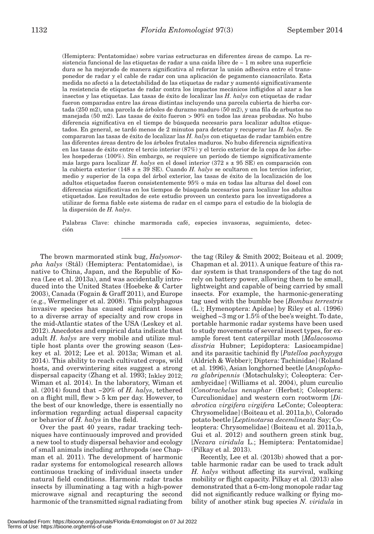(Hemiptera: Pentatomidae) sobre varias estructuras en diferentes áreas de campo. La resistencia funcional de las etiquetas de radar a una caida libre de  $\sim 1$  m sobre una superficie dura se ha mejorado de manera significativa al reforzar la unión adhesiva entre el transponedor de radar y el cable de radar con una aplicación de pegamento cianoacrilato. Esta medida no afectó a la detectabilidad de las etiquetas de radar y aumentó significativamente la resistencia de etiquetas de radar contra los impactos mecánicos infligidos al azar a los insectos y las etiquetas. Las tasas de éxito de localizar las *H. halys* con etiquetas de radar fueron comparadas entre las áreas distintas incluyendo una parcela cubierta de hierba cortada (250 m2), una parcela de árboles de durazno maduro (50 m2), y una fila de arbustos no manejada (50 m2). Las tasas de éxito fueron > 90% en todos las áreas probadas. No hubo diferencia significativa en el tiempo de búsqueda necesario para localizar adultos etiquetados. En general, se tardó menos de 2 minutos para detectar y recuperar las *H. halys.* Se compararon las tasas de éxito de localizar las *H. halys* con etiquetas de radar también entre las diferentes áreas dentro de los árboles frutales maduros. No hubo diferencia significativa en las tasas de éxito entre el tercio interior (87%) y el tercio exterior de la copa de los árboles hospederas (100%). Sin embargo, se requiere un período de tiempo significativamente más largo para localizar *H. halys* en el dosel interior (372 s ± 95 SE) en comparación con la cubierta exterior (148 s  $\pm$  39 SE). Cuando *H. halys* se ocultaron en los tercios inferior, medio y superior de la copa del árbol exterior, las tasas de éxito de la localización de los adultos etiquetados fueron consistentemente 95% o más en todas las alturas del dosel con diferencias significativas en los tiempos de búsqueda necesarios para localizar los adultos etiquetados. Los resultados de este estudio proveen un contexto para los investigadores a utilizar de forma fiable este sistema de radar en el campo para el estudio de la biología de la dispersión de *H. halys*.

Palabras Clave: chinche marmorada café, especies invasoras, seguimiento, detección

The brown marmorated stink bug, *Halyomorpha halys* (Stål) (Hemiptera: Pentatomidae), is native to China, Japan, and the Republic of Korea (Lee et al. 2013a), and was accidentally introduced into the United States (Hoebeke & Carter 2003), Canada (Fogain & Graff 2011), and Europe (e.g., Wermelinger et al. 2008). This polyphagous invasive species has caused significant losses to a diverse array of specialty and row crops in the mid-Atlantic states of the USA (Leskey et al. 2012). Anecdotes and empirical data indicate that adult *H. halys* are very mobile and utilize multiple host plants over the growing season (Leskey et al. 2012; Lee et al. 2013a; Wiman et al. 2014). This ability to reach cultivated crops, wild hosts, and overwintering sites suggest a strong dispersal capacity (Zhang et al. 1993; Inkley 2012; Wiman et al. 2014). In the laboratory, Wiman et al. (2014) found that ~20% of *H. halys*, tethered on a flight mill, flew > 5 km per day. However, to the best of our knowledge, there is essentially no information regarding actual dispersal capacity or behavior of *H. halys* in the field.

Over the past 40 years, radar tracking techniques have continuously improved and provided a new tool to study dispersal behavior and ecology of small animals including arthropods (see Chapman et al. 2011). The development of harmonic radar systems for entomological research allows continuous tracking of individual insects under natural field conditions. Harmonic radar tracks insects by illuminating a tag with a high-power microwave signal and recapturing the second harmonic of the transmitted signal radiating from

the tag (Riley & Smith 2002; Boiteau et al. 2009; Chapman et al. 2011). A unique feature of this radar system is that transponders of the tag do not rely on battery power, allowing them to be small, lightweight and capable of being carried by small insects. For example, the harmonic-generating tag used with the bumble bee [*Bombus terrestris* (L.); Hymenoptera: Apidae] by Riley et al. (1996) weighed ~3 mg or 1.5% of the bee's weight. To date, portable harmonic radar systems have been used to study movements of several insect types, for example forest tent caterpillar moth [*Malacosoma disstria* Hubner; Lepidoptera: Lasiocampidae] and its parasitic tachinid fly [*Patelloa pachypyga* (Aldrich & Webber); Diptera: Tachinidae] (Roland et al. 1996), Asian longhorned beetle [*Anoplophora glabripennis* (Motschulsky); Coleoptera: Cerambycidae] (Williams et al. 2004), plum curculio [*Conotrachelus nenuphar* (Herbst); Coleoptera: Curculionidae] and western corn rootworm [*Diabrotica virgifera virgifera* LeConte; Coleoptera: Chrysomelidae] (Boiteau et al. 2011a,b), Colorado potato beetle [*Leptinotarsa decemlineata* Say; Coleoptera: Chrysomelidae] (Boiteau et al. 2011a,b, Gui et al. 2012) and southern green stink bug, [*Nezara viridula* L.; Hemiptera: Pentatomidae] (Pilkay et al. 2013).

Recently, Lee et al. (2013b) showed that a portable harmonic radar can be used to track adult *H. halys* without affecting its survival, walking mobility or flight capacity. Pilkay et al. (2013) also demonstrated that a 6-cm-long monopole radar tag did not significantly reduce walking or flying mobility of another stink bug species *N. viridula* in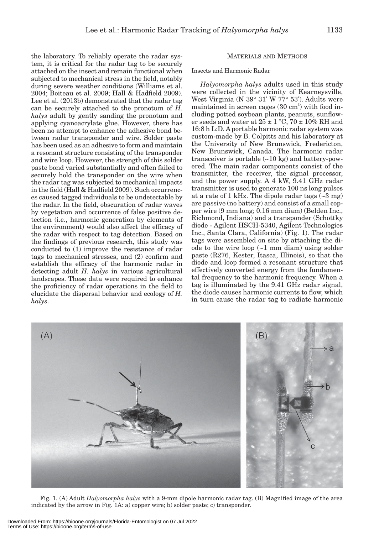the laboratory. To reliably operate the radar system, it is critical for the radar tag to be securely attached on the insect and remain functional when subjected to mechanical stress in the field, notably during severe weather conditions (Williams et al. 2004; Boiteau et al. 2009; Hall & Hadfield 2009). Lee et al. (2013b) demonstrated that the radar tag can be securely attached to the pronotum of *H. halys* adult by gently sanding the pronotum and applying cyanoacrylate glue. However, there has been no attempt to enhance the adhesive bond between radar transponder and wire. Solder paste has been used as an adhesive to form and maintain a resonant structure consisting of the transponder and wire loop. However, the strength of this solder paste bond varied substantially and often failed to securely hold the transponder on the wire when the radar tag was subjected to mechanical impacts in the field (Hall & Hadfield 2009). Such occurrences caused tagged individuals to be undetectable by the radar. In the field, obscuration of radar waves by vegetation and occurrence of false positive detection (i.e., harmonic generation by elements of the environment) would also affect the efficacy of the radar with respect to tag detection. Based on the findings of previous research, this study was conducted to (1) improve the resistance of radar tags to mechanical stresses, and (2) confirm and establish the efficacy of the harmonic radar in detecting adult *H. halys* in various agricultural landscapes. These data were required to enhance the proficiency of radar operations in the field to elucidate the dispersal behavior and ecology of *H. halys*.

## MATERIALS AND METHODS

Insects and Harmonic Radar

*Halyomorpha halys* adults used in this study were collected in the vicinity of Kearneysville, West Virginia (N 39° 31' W 77° 53'). Adults were maintained in screen cages  $(30 \text{ cm}^3)$  with food including potted soybean plants, peanuts, sunflower seeds and water at  $25 \pm 1$  °C,  $70 \pm 10\%$  RH and 16:8 h L:D. A portable harmonic radar system was custom-made by B. Colpitts and his laboratory at the University of New Brunswick, Fredericton, New Brunswick, Canada. The harmonic radar transceiver is portable  $(-10 \text{ kg})$  and battery-powered. The main radar components consist of the transmitter, the receiver, the signal processor, and the power supply. A 4 kW, 9.41 GHz radar transmitter is used to generate 100 ns long pulses at a rate of 1 kHz. The dipole radar tags  $(-3 \text{ mg})$ are passive (no battery) and consist of a small copper wire (9 mm long; 0.16 mm diam) (Belden Inc., Richmond, Indiana) and a transponder (Schottky diode - Agilent HSCH-5340, Agilent Technologies Inc., Santa Clara, California) (Fig. 1). The radar tags were assembled on site by attaching the diode to the wire loop  $(-1 \text{ mm } \text{diam})$  using solder paste (R276, Kester, Itasca, Illinois), so that the diode and loop formed a resonant structure that effectively converted energy from the fundamental frequency to the harmonic frequency. When a tag is illuminated by the 9.41 GHz radar signal, the diode causes harmonic currents to flow, which in turn cause the radar tag to radiate harmonic



Fig. 1. (A) Adult *Halyomorpha halys* with a 9-mm dipole harmonic radar tag. (B) Magnified image of the area indicated by the arrow in Fig. 1A: a) copper wire; b) solder paste; c) transponder.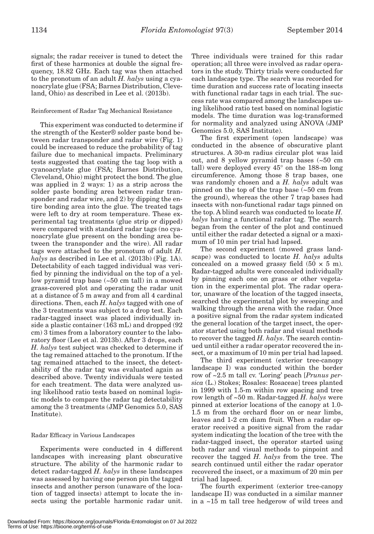signals; the radar receiver is tuned to detect the first of these harmonics at double the signal frequency, 18.82 GHz. Each tag was then attached to the pronotum of an adult *H. halys* using a cyanoacrylate glue (FSA; Barnes Distribution, Cleveland, Ohio) as described in Lee et al. (2013b).

## Reinforcement of Radar Tag Mechanical Resistance

This experiment was conducted to determine if the strength of the Kester® solder paste bond between radar transponder and radar wire (Fig. 1) could be increased to reduce the probability of tag failure due to mechanical impacts. Preliminary tests suggested that coating the tag loop with a cyanoacrylate glue (FSA; Barnes Distribution, Cleveland, Ohio) might protect the bond. The glue was applied in 2 ways: 1) as a strip across the solder paste bonding area between radar transponder and radar wire, and 2) by dipping the entire bonding area into the glue. The treated tags were left to dry at room temperature. These experimental tag treatments (glue strip or dipped) were compared with standard radar tags (no cyanoacrylate glue present on the bonding area between the transponder and the wire). All radar tags were attached to the pronotum of adult *H. halys* as described in Lee et al. (2013b) (Fig. 1A). Detectability of each tagged individual was verified by pinning the individual on the top of a yellow pyramid trap base (~50 cm tall) in a mowed grass-covered plot and operating the radar unit at a distance of 5 m away and from all 4 cardinal directions. Then, each *H. halys* tagged with one of the 3 treatments was subject to a drop test. Each radar-tagged insect was placed individually inside a plastic container (163 mL) and dropped (92 cm) 3 times from a laboratory counter to the laboratory floor (Lee et al. 2013b). After 3 drops, each *H. halys* test subject was checked to determine if the tag remained attached to the pronotum. If the tag remained attached to the insect, the detectability of the radar tag was evaluated again as described above. Twenty individuals were tested for each treatment. The data were analyzed using likelihood ratio tests based on nominal logistic models to compare the radar tag detectability among the 3 treatments (JMP Genomics 5.0, SAS Institute).

## Radar Efficacy in Various Landscapes

Experiments were conducted in 4 different landscapes with increasing plant obscurative structure. The ability of the harmonic radar to detect radar-tagged *H. halys* in these landscapes was assessed by having one person pin the tagged insects and another person (unaware of the location of tagged insects) attempt to locate the insects using the portable harmonic radar unit.

Three individuals were trained for this radar operation; all three were involved as radar operators in the study. Thirty trials were conducted for each landscape type. The search was recorded for time duration and success rate of locating insects with functional radar tags in each trial. The success rate was compared among the landscapes using likelihood ratio test based on nominal logistic models. The time duration was log-transformed for normality and analyzed using ANOVA (JMP Genomics 5.0, SAS Institute).

The first experiment (open landscape) was conducted in the absence of obscurative plant structures. A 30-m radius circular plot was laid out, and 8 yellow pyramid trap bases (~50 cm tall) were deployed every 45° on the 188-m long circumference. Among those 8 trap bases, one was randomly chosen and a *H. halys* adult was pinned on the top of the trap base (~50 cm from the ground), whereas the other 7 trap bases had insects with non-functional radar tags pinned on the top. A blind search was conducted to locate *H. halys* having a functional radar tag. The search began from the center of the plot and continued until either the radar detected a signal or a maximum of 10 min per trial had lapsed.

The second experiment (mowed grass landscape) was conducted to locate *H. halys* adults concealed on a mowed grassy field  $(50 \times 5 \text{ m})$ . Radar-tagged adults were concealed individually by pinning each one on grass or other vegetation in the experimental plot. The radar operator, unaware of the location of the tagged insects, searched the experimental plot by sweeping and walking through the arena with the radar. Once a positive signal from the radar system indicated the general location of the target insect, the operator started using both radar and visual methods to recover the tagged *H. halys*. The search continued until either a radar operator recovered the insect, or a maximum of 10 min per trial had lapsed.

The third experiment (exterior tree-canopy landscape I) was conducted within the border row of ~2.5 m tall cv. 'Loring' peach [*Prunus persica* (L.) Stokes; Rosales: Rosaceae] trees planted in 1999 with 1.5-m within row spacing and tree row length of ~50 m. Radar-tagged *H. halys* were pinned at exterior locations of the canopy at 1.0- 1.5 m from the orchard floor on or near limbs, leaves and 1-2 cm diam fruit. When a radar operator received a positive signal from the radar system indicating the location of the tree with the radar-tagged insect, the operator started using both radar and visual methods to pinpoint and recover the tagged *H. halys* from the tree. The search continued until either the radar operator recovered the insect, or a maximum of 20 min per trial had lapsed.

The fourth experiment (exterior tree-canopy landscape II) was conducted in a similar manner in a ~15 m tall tree hedgerow of wild trees and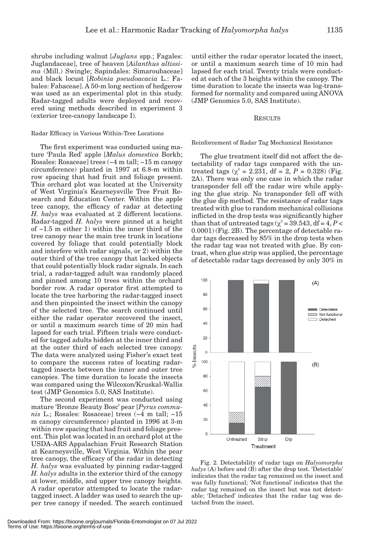shrubs including walnut [*Juglans* spp.; Fagales: Juglandaceae], tree of heaven [*Ailanthus altissima* (Mill.) Swingle; Sapindales: Simaroubaceae] and black locust [*Robinia pseudoacacia* L.: Fabales: Fabaceae]. A 50-m long section of hedgerow was used as an experimental plot in this study. Radar-tagged adults were deployed and recovered using methods described in experiment 3 (exterior tree-canopy landscape I).

#### Radar Efficacy in Various Within-Tree Locations

The first experiment was conducted using mature 'Paula Red' apple [*Malus domestica* Borkh; Rosales: Rosaceae] trees (~4 m tall; ~15 m canopy circumference) planted in 1997 at 6.8-m within row spacing that had fruit and foliage present. This orchard plot was located at the University of West Virginia's Kearneysville Tree Fruit Research and Education Center. Within the apple tree canopy, the efficacy of radar at detecting *H. halys* was evaluated at 2 different locations. Radar-tagged *H. halys* were pinned at a height of  $\sim$ 1.5 m either 1) within the inner third of the tree canopy near the main tree trunk in locations covered by foliage that could potentially block and interfere with radar signals, or 2) within the outer third of the tree canopy that lacked objects that could potentially block radar signals. In each trial, a radar-tagged adult was randomly placed and pinned among 10 trees within the orchard border row. A radar operator first attempted to locate the tree harboring the radar-tagged insect and then pinpointed the insect within the canopy of the selected tree. The search continued until either the radar operator recovered the insect, or until a maximum search time of 20 min had lapsed for each trial. Fifteen trials were conducted for tagged adults hidden at the inner third and at the outer third of each selected tree canopy. The data were analyzed using Fisher's exact test to compare the success rates of locating radartagged insects between the inner and outer tree canopies. The time duration to locate the insects was compared using the Wilcoxon/Kruskal-Wallis test (JMP Genomics 5.0, SAS Institute).

The second experiment was conducted using mature 'Bronze Beauty Bosc' pear [*Pyrus communis* L.; Rosales: Rosaceae] trees (~4 m tall; ~15 m canopy circumference) planted in 1996 at 3-m within row spacing that had fruit and foliage present. This plot was located in an orchard plot at the USDA-ARS Appalachian Fruit Research Station at Kearneysville, West Virginia. Within the pear tree canopy, the efficacy of the radar in detecting *H. halys* was evaluated by pinning radar-tagged *H. halys* adults in the exterior third of the canopy at lower, middle, and upper tree canopy heights. A radar operator attempted to locate the radartagged insect. A ladder was used to search the upper tree canopy if needed. The search continued

until either the radar operator located the insect, or until a maximum search time of 10 min had lapsed for each trial. Twenty trials were conducted at each of the 3 heights within the canopy. The time duration to locate the insects was log-transformed for normality and compared using ANOVA (JMP Genomics 5.0, SAS Institute).

#### RESULTS

#### Reinforcement of Radar Tag Mechanical Resistance

The glue treatment itself did not affect the detectability of radar tags compared with the untreated tags ( $\chi^2 = 2.231$ , df = 2, *P* = 0.328) (Fig. 2A). There was only one case in which the radar transponder fell off the radar wire while applying the glue strip. No transponder fell off with the glue dip method. The resistance of radar tags treated with glue to random mechanical collisions inflicted in the drop tests was significantly higher than that of untreated tags ( $\chi^2$  = 39.543, df = 4, *P* < 0.0001) (Fig. 2B). The percentage of detectable radar tags decreased by 85% in the drop tests when the radar tag was not treated with glue. By contrast, when glue strip was applied, the percentage of detectable radar tags decreased by only 30% in



Fig. 2. Detectability of radar tags on *Halyomorpha halys* (A) before and (B) after the drop test. 'Detectable' indicates that the radar tag remained on the insect and was fully functional; 'Not functional' indicates that the radar tag remained on the insect but was not detectable; 'Detached' indicates that the radar tag was detached from the insect.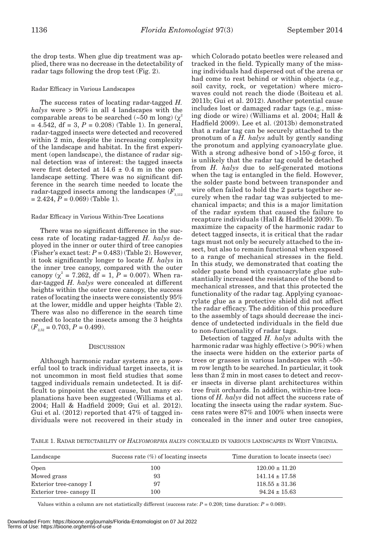the drop tests. When glue dip treatment was applied, there was no decrease in the detectability of radar tags following the drop test (Fig. 2).

## Radar Efficacy in Various Landscapes

The success rates of locating radar-tagged *H. halys* were > 90% in all 4 landscapes with the comparable areas to be searched (~50 m long) ( $\chi^2$  $= 4.542$ , df  $= 3, P = 0.208$  (Table 1). In general, radar-tagged insects were detected and recovered within 2 min, despite the increasing complexity of the landscape and habitat. In the first experiment (open landscape), the distance of radar signal detection was of interest: the tagged insects were first detected at  $14.6 \pm 0.4$  m in the open landscape setting. There was no significant difference in the search time needed to locate the radar-tagged insects among the landscapes  $(F_{3,112})$  $= 2.424, P = 0.069$  (Table 1).

## Radar Efficacy in Various Within-Tree Locations

There was no significant difference in the success rate of locating radar-tagged *H. halys* deployed in the inner or outer third of tree canopies (Fisher's exact test:  $P = 0.483$ ) (Table 2). However, it took significantly longer to locate *H. halys* in the inner tree canopy, compared with the outer canopy  $(\chi^2 = 7.262, df = 1, P = 0.007)$ . When radar-tagged *H. halys* were concealed at different heights within the outer tree canopy, the success rates of locating the insects were consistently 95% at the lower, middle and upper heights (Table 2). There was also no difference in the search time needed to locate the insects among the 3 heights  $(F_{2.52} = 0.703, P = 0.499).$ 

## **DISCUSSION**

Although harmonic radar systems are a powerful tool to track individual target insects, it is not uncommon in most field studies that some tagged individuals remain undetected. It is difficult to pinpoint the exact cause, but many explanations have been suggested (Williams et al. 2004; Hall & Hadfield 2009; Gui et al. 2012). Gui et al. (2012) reported that 47% of tagged individuals were not recovered in their study in which Colorado potato beetles were released and tracked in the field. Typically many of the missing individuals had dispersed out of the arena or had come to rest behind or within objects (e.g., soil cavity, rock, or vegetation) where microwaves could not reach the diode (Boiteau et al. 2011b; Gui et al. 2012). Another potential cause includes lost or damaged radar tags (e.g., missing diode or wire) (Williams et al. 2004; Hall & Hadfield 2009). Lee et al. (2013b) demonstrated that a radar tag can be securely attached to the pronotum of a *H. halys* adult by gently sanding the pronotum and applying cyanoacrylate glue. With a strong adhesive bond of >150-g force, it is unlikely that the radar tag could be detached from *H. halys* due to self-generated motions when the tag is entangled in the field. However, the solder paste bond between transponder and wire often failed to hold the 2 parts together securely when the radar tag was subjected to mechanical impacts; and this is a major limitation of the radar system that caused the failure to recapture individuals (Hall & Hadfield 2009). To maximize the capacity of the harmonic radar to detect tagged insects, it is critical that the radar tags must not only be securely attached to the insect, but also to remain functional when exposed to a range of mechanical stresses in the field. In this study, we demonstrated that coating the solder paste bond with cyanoacrylate glue substantially increased the resistance of the bond to mechanical stresses, and that this protected the functionality of the radar tag. Applying cyanoacrylate glue as a protective shield did not affect the radar efficacy. The addition of this procedure to the assembly of tags should decrease the incidence of undetected individuals in the field due to non-functionality of radar tags.

Detection of tagged *H. halys* adults with the harmonic radar was highly effective (> 90%) when the insects were hidden on the exterior parts of trees or grasses in various landscapes with ~50 m row length to be searched. In particular, it took less than 2 min in most cases to detect and recover insects in diverse plant architectures within tree fruit orchards. In addition, within-tree locations of *H. halys* did not affect the success rate of locating the insects using the radar system. Success rates were 87% and 100% when insects were concealed in the inner and outer tree canopies,

TABLE 1. RADAR DETECTABILITY OF *HALYOMORPHA HALYS* CONCEALED IN VARIOUS LANDSCAPES IN WEST VIRGINIA.

| Landscape               | Success rate $(\%)$ of locating insects | Time duration to locate insects (sec) |
|-------------------------|-----------------------------------------|---------------------------------------|
| Open                    | 100                                     | $120.00 \pm 11.20$                    |
| Mowed grass             | 93                                      | $141.14 \pm 17.58$                    |
| Exterior tree-canopy I  | 97                                      | $118.55 \pm 31.36$                    |
| Exterior tree-canopy II | 100                                     | $94.24 \pm 15.63$                     |

Values within a column are not statistically different (success rate:  $P = 0.208$ ; time duration:  $P = 0.069$ ).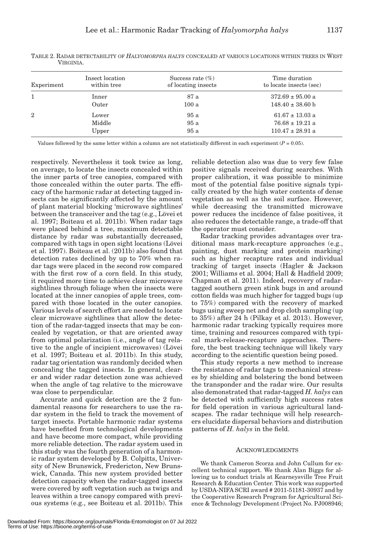| Experiment   | Insect location<br>within tree | Success rate $(\%)$<br>of locating insects | Time duration<br>to locate insects (sec) |
|--------------|--------------------------------|--------------------------------------------|------------------------------------------|
|              | Inner                          | 87 a                                       | $372.69 \pm 95.00$ a                     |
|              | Outer                          | 100a                                       | $148.40 \pm 38.60$ b                     |
| $\mathbf{2}$ | Lower                          | 95a                                        | $61.67 \pm 13.03$ a                      |
|              | Middle                         | 95 a                                       | $76.68 \pm 19.21$ a                      |
|              | Upper                          | 95a                                        | $110.47 \pm 28.91$ a                     |

TABLE 2. RADAR DETECTABILITY OF *HALYOMORPHA HALYS* CONCEALED AT VARIOUS LOCATIONS WITHIN TREES IN WEST VIRGINIA.

Values followed by the same letter within a column are not statistically different in each experiment  $(P = 0.05)$ .

respectively. Nevertheless it took twice as long, on average, to locate the insects concealed within the inner parts of tree canopies, compared with those concealed within the outer parts. The efficacy of the harmonic radar at detecting tagged insects can be significantly affected by the amount of plant material blocking 'microwave sightlines' between the transceiver and the tag (e.g., Lövei et al. 1997; Boiteau et al. 2011b). When radar tags were placed behind a tree, maximum detectable distance by radar was substantially decreased, compared with tags in open sight locations (Lövei et al. 1997). Boiteau et al. (2011b) also found that detection rates declined by up to 70% when radar tags were placed in the second row compared with the first row of a corn field. In this study, it required more time to achieve clear microwave sightlines through foliage when the insects were located at the inner canopies of apple trees, compared with those located in the outer canopies. Various levels of search effort are needed to locate clear microwave sightlines that allow the detection of the radar-tagged insects that may be concealed by vegetation, or that are oriented away from optimal polarization (i.e., angle of tag relative to the angle of incipient microwaves) (Lövei et al. 1997; Boiteau et al. 2011b). In this study, radar tag orientation was randomly decided when concealing the tagged insects. In general, clearer and wider radar detection zone was achieved when the angle of tag relative to the microwave was close to perpendicular.

Accurate and quick detection are the 2 fundamental reasons for researchers to use the radar system in the field to track the movement of target insects. Portable harmonic radar systems have benefited from technological developments and have become more compact, while providing more reliable detection. The radar system used in this study was the fourth generation of a harmonic radar system developed by B. Colpitts, University of New Brunswick, Fredericton, New Brunswick, Canada. This new system provided better detection capacity when the radar-tagged insects were covered by soft vegetation such as twigs and leaves within a tree canopy compared with previous systems (e.g., see Boiteau et al. 2011b). This

reliable detection also was due to very few false positive signals received during searches. With proper calibration, it was possible to minimize most of the potential false positive signals typically created by the high water contents of dense vegetation as well as the soil surface. However, while decreasing the transmitted microwave power reduces the incidence of false positives, it also reduces the detectable range, a trade-off that the operator must consider.

Radar tracking provides advantages over traditional mass mark-recapture approaches (e.g., painting, dust marking and protein marking) such as higher recapture rates and individual tracking of target insects (Hagler & Jackson 2001; Williams et al. 2004; Hall & Hadfield 2009; Chapman et al. 2011). Indeed, recovery of radartagged southern green stink bugs in and around cotton fields was much higher for tagged bugs (up to 75%) compared with the recovery of marked bugs using sweep net and drop cloth sampling (up to 35%) after 24 h (Pilkay et al. 2013). However, harmonic radar tracking typically requires more time, training and resources compared with typical mark-release-recapture approaches. Therefore, the best tracking technique will likely vary according to the scientific question being posed.

This study reports a new method to increase the resistance of radar tags to mechanical stresses by shielding and bolstering the bond between the transponder and the radar wire. Our results also demonstrated that radar-tagged *H. halys* can be detected with sufficiently high success rates for field operation in various agricultural landscapes. The radar technique will help researchers elucidate dispersal behaviors and distribution patterns of *H. halys* in the field.

#### ACKNOWLEDGMENTS

We thank Cameron Scorza and John Cullum for excellent technical support. We thank Alan Biggs for allowing us to conduct trials at Kearneysville Tree Fruit Research & Education Center. This work was supported by USDA-NIFA SCRI award # 2011-51181-30937 and by the Cooperative Research Program for Agricultural Science & Technology Development (Project No. PJ008946;